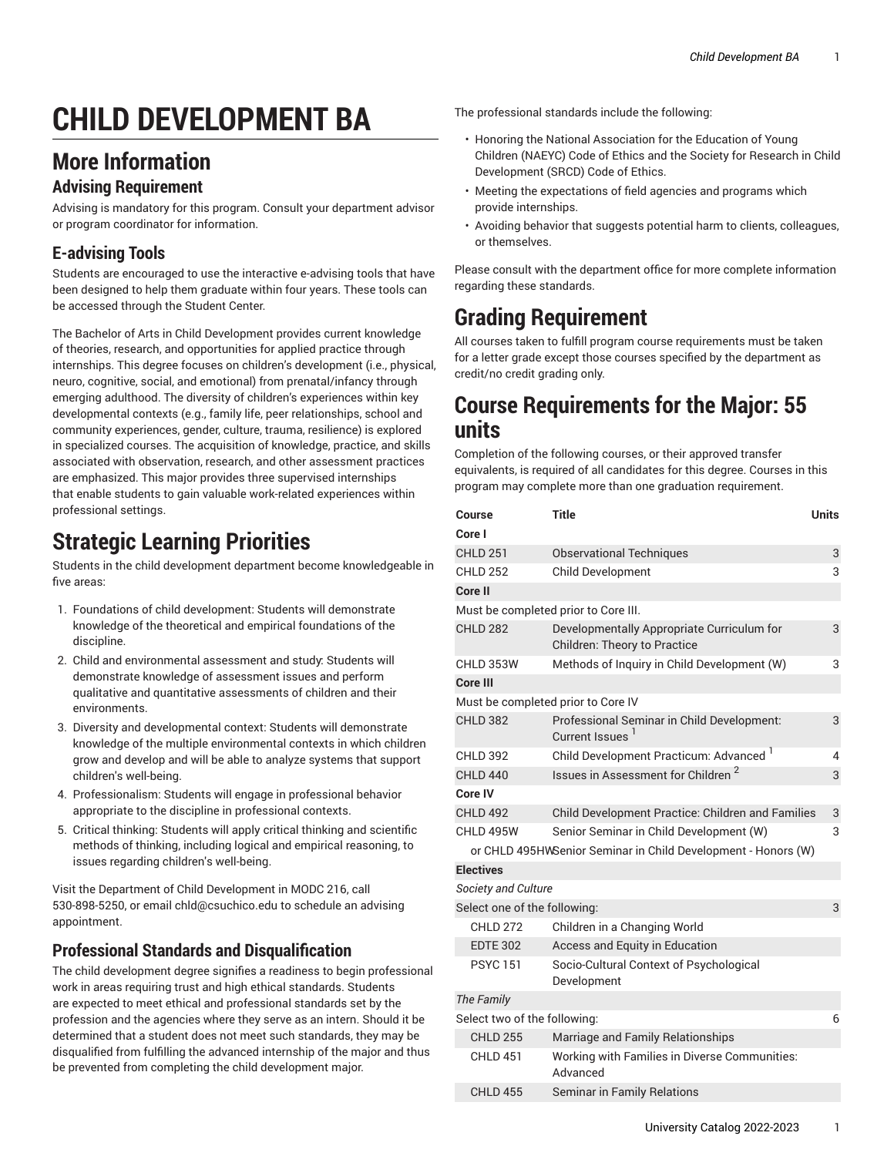# **CHILD DEVELOPMENT BA**

### **More Information**

#### **Advising Requirement**

Advising is mandatory for this program. Consult your department advisor or program coordinator for information.

### **E-advising Tools**

Students are encouraged to use the interactive e-advising tools that have been designed to help them graduate within four years. These tools can be accessed through the Student Center.

The Bachelor of Arts in Child Development provides current knowledge of theories, research, and opportunities for applied practice through internships. This degree focuses on children's development (i.e., physical, neuro, cognitive, social, and emotional) from prenatal/infancy through emerging adulthood. The diversity of children's experiences within key developmental contexts (e.g., family life, peer relationships, school and community experiences, gender, culture, trauma, resilience) is explored in specialized courses. The acquisition of knowledge, practice, and skills associated with observation, research, and other assessment practices are emphasized. This major provides three supervised internships that enable students to gain valuable work-related experiences within professional settings.

## **Strategic Learning Priorities**

Students in the child development department become knowledgeable in five areas:

- 1. Foundations of child development: Students will demonstrate knowledge of the theoretical and empirical foundations of the discipline.
- 2. Child and environmental assessment and study: Students will demonstrate knowledge of assessment issues and perform qualitative and quantitative assessments of children and their environments.
- 3. Diversity and developmental context: Students will demonstrate knowledge of the multiple environmental contexts in which children grow and develop and will be able to analyze systems that support children's well-being.
- 4. Professionalism: Students will engage in professional behavior appropriate to the discipline in professional contexts.
- 5. Critical thinking: Students will apply critical thinking and scientific methods of thinking, including logical and empirical reasoning, to issues regarding children's well-being.

Visit the Department of Child Development in MODC 216, call 530-898-5250, or email [chld@csuchico.edu](mailto:chld@csuchico.edu) to schedule an advising appointment.

#### **Professional Standards and Disqualification**

The child development degree signifies a readiness to begin professional work in areas requiring trust and high ethical standards. Students are expected to meet ethical and professional standards set by the profession and the agencies where they serve as an intern. Should it be determined that a student does not meet such standards, they may be disqualified from fulfilling the advanced internship of the major and thus be prevented from completing the child development major.

The professional standards include the following:

- Honoring the National Association for the Education of Young Children (NAEYC) Code of Ethics and the Society for Research in Child Development (SRCD) Code of Ethics.
- Meeting the expectations of field agencies and programs which provide internships.
- Avoiding behavior that suggests potential harm to clients, colleagues, or themselves.

Please consult with the department office for more complete information regarding these standards.

# **Grading Requirement**

All courses taken to fulfill program course requirements must be taken for a letter grade except those courses specified by the department as credit/no credit grading only.

### **Course Requirements for the Major: 55 units**

Completion of the following courses, or their approved transfer equivalents, is required of all candidates for this degree. Courses in this program may complete more than one graduation requirement.

| Course<br>Core I                                              | <b>Title</b>                                                                      | <b>Units</b> |  |
|---------------------------------------------------------------|-----------------------------------------------------------------------------------|--------------|--|
| <b>CHLD 251</b>                                               | <b>Observational Techniques</b>                                                   | 3            |  |
| <b>CHLD 252</b>                                               | Child Development                                                                 | 3            |  |
| Core II                                                       |                                                                                   |              |  |
| Must be completed prior to Core III.                          |                                                                                   |              |  |
| <b>CHLD 282</b>                                               | Developmentally Appropriate Curriculum for<br><b>Children: Theory to Practice</b> | 3            |  |
| CHLD 353W                                                     | Methods of Inquiry in Child Development (W)                                       | 3            |  |
| Core III                                                      |                                                                                   |              |  |
| Must be completed prior to Core IV                            |                                                                                   |              |  |
| <b>CHLD 382</b>                                               | Professional Seminar in Child Development:<br>Current Issues                      | 3            |  |
| <b>CHLD 392</b>                                               | Child Development Practicum: Advanced <sup>1</sup>                                | 4            |  |
| <b>CHLD 440</b>                                               | Issues in Assessment for Children <sup>2</sup>                                    | 3            |  |
| Core IV                                                       |                                                                                   |              |  |
| <b>CHLD 492</b>                                               | Child Development Practice: Children and Families                                 | 3            |  |
| CHLD 495W                                                     | Senior Seminar in Child Development (W)                                           | 3            |  |
| or CHLD 495HWSenior Seminar in Child Development - Honors (W) |                                                                                   |              |  |
| <b>Electives</b>                                              |                                                                                   |              |  |
| <b>Society and Culture</b>                                    |                                                                                   |              |  |
| Select one of the following:                                  |                                                                                   | 3            |  |
| <b>CHLD 272</b>                                               | Children in a Changing World                                                      |              |  |
| <b>EDTE 302</b>                                               | Access and Equity in Education                                                    |              |  |
| <b>PSYC151</b>                                                | Socio-Cultural Context of Psychological<br>Development                            |              |  |
| The Family                                                    |                                                                                   |              |  |
| Select two of the following:                                  |                                                                                   | 6            |  |
| <b>CHLD 255</b>                                               | Marriage and Family Relationships                                                 |              |  |
| <b>CHLD 451</b>                                               | Working with Families in Diverse Communities:<br>Advanced                         |              |  |
| <b>CHLD 455</b>                                               | <b>Seminar in Family Relations</b>                                                |              |  |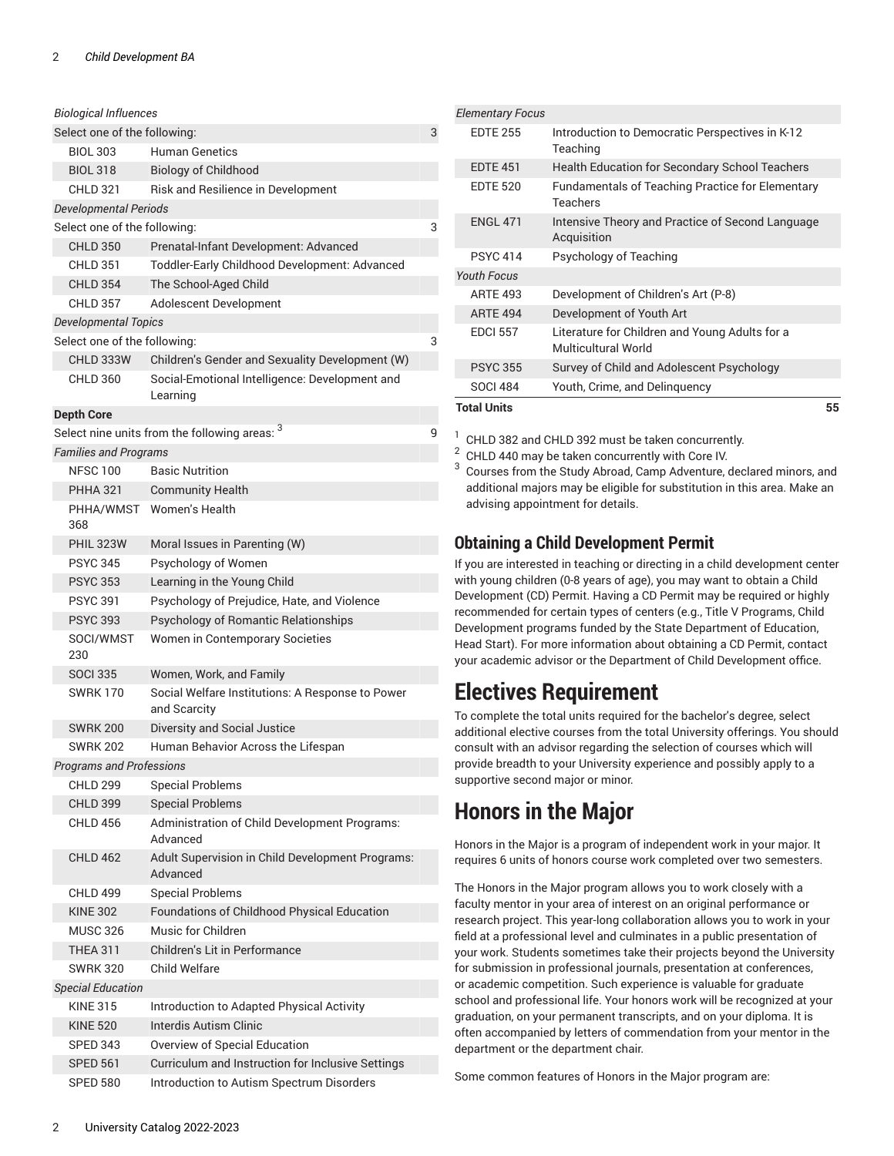| <b>Biological Influences</b>      |                                                                  |   |  |
|-----------------------------------|------------------------------------------------------------------|---|--|
| Select one of the following:<br>3 |                                                                  |   |  |
| <b>BIOL 303</b>                   | <b>Human Genetics</b>                                            |   |  |
| <b>BIOL 318</b>                   | <b>Biology of Childhood</b>                                      |   |  |
| <b>CHLD 321</b>                   | Risk and Resilience in Development                               |   |  |
| <b>Developmental Periods</b>      |                                                                  |   |  |
| Select one of the following:      |                                                                  | 3 |  |
| <b>CHLD 350</b>                   | Prenatal-Infant Development: Advanced                            |   |  |
| <b>CHLD 351</b>                   | Toddler-Early Childhood Development: Advanced                    |   |  |
| <b>CHLD 354</b>                   | The School-Aged Child                                            |   |  |
| <b>CHLD 357</b>                   | Adolescent Development                                           |   |  |
| <b>Developmental Topics</b>       |                                                                  |   |  |
| Select one of the following:      |                                                                  | 3 |  |
| CHLD 333W                         | Children's Gender and Sexuality Development (W)                  |   |  |
| <b>CHLD 360</b>                   | Social-Emotional Intelligence: Development and<br>Learning       |   |  |
| <b>Depth Core</b>                 |                                                                  |   |  |
|                                   | Select nine units from the following areas: 3                    | 9 |  |
| <b>Families and Programs</b>      |                                                                  |   |  |
| <b>NFSC 100</b>                   | <b>Basic Nutrition</b>                                           |   |  |
| <b>PHHA 321</b>                   | <b>Community Health</b>                                          |   |  |
| PHHA/WMST                         | Women's Health                                                   |   |  |
| 368                               |                                                                  |   |  |
| <b>PHIL 323W</b>                  | Moral Issues in Parenting (W)                                    |   |  |
| <b>PSYC 345</b>                   | Psychology of Women                                              |   |  |
| <b>PSYC 353</b>                   | Learning in the Young Child                                      |   |  |
| <b>PSYC 391</b>                   | Psychology of Prejudice, Hate, and Violence                      |   |  |
| <b>PSYC 393</b>                   | Psychology of Romantic Relationships                             |   |  |
| SOCI/WMST<br>230                  | Women in Contemporary Societies                                  |   |  |
| <b>SOCI 335</b>                   | Women, Work, and Family                                          |   |  |
| <b>SWRK170</b>                    | Social Welfare Institutions: A Response to Power<br>and Scarcity |   |  |
| <b>SWRK 200</b>                   | Diversity and Social Justice                                     |   |  |
| <b>SWRK 202</b>                   | Human Behavior Across the Lifespan                               |   |  |
| <b>Programs and Professions</b>   |                                                                  |   |  |
| <b>CHLD 299</b>                   | <b>Special Problems</b>                                          |   |  |
| <b>CHLD 399</b>                   | <b>Special Problems</b>                                          |   |  |
| <b>CHLD 456</b>                   | Administration of Child Development Programs:<br>Advanced        |   |  |
| <b>CHLD 462</b>                   | Adult Supervision in Child Development Programs:<br>Advanced     |   |  |
| <b>CHLD 499</b>                   | <b>Special Problems</b>                                          |   |  |
| <b>KINE 302</b>                   | Foundations of Childhood Physical Education                      |   |  |
| <b>MUSC 326</b>                   | Music for Children                                               |   |  |
| <b>THEA 311</b>                   | Children's Lit in Performance                                    |   |  |
| <b>SWRK 320</b>                   | Child Welfare                                                    |   |  |
| <b>Special Education</b>          |                                                                  |   |  |
| <b>KINE 315</b>                   | Introduction to Adapted Physical Activity                        |   |  |
| <b>KINE 520</b>                   | <b>Interdis Autism Clinic</b>                                    |   |  |
| SPED 343                          | Overview of Special Education                                    |   |  |
| <b>SPED 561</b>                   | Curriculum and Instruction for Inclusive Settings                |   |  |
| <b>SPED 580</b>                   | Introduction to Autism Spectrum Disorders                        |   |  |

| <b>Elementary Focus</b> |                                                                              |    |
|-------------------------|------------------------------------------------------------------------------|----|
| <b>EDTE 255</b>         | Introduction to Democratic Perspectives in K-12<br>Teaching                  |    |
| <b>EDTE 451</b>         | <b>Health Education for Secondary School Teachers</b>                        |    |
| <b>EDTE 520</b>         | <b>Fundamentals of Teaching Practice for Elementary</b><br>Teachers          |    |
| <b>ENGL 471</b>         | Intensive Theory and Practice of Second Language<br>Acquisition              |    |
| <b>PSYC 414</b>         | Psychology of Teaching                                                       |    |
| <b>Youth Focus</b>      |                                                                              |    |
| <b>ARTE 493</b>         | Development of Children's Art (P-8)                                          |    |
| <b>ARTE 494</b>         | Development of Youth Art                                                     |    |
| <b>EDCI 557</b>         | Literature for Children and Young Adults for a<br><b>Multicultural World</b> |    |
| <b>PSYC 355</b>         | Survey of Child and Adolescent Psychology                                    |    |
| <b>SOCI 484</b>         | Youth, Crime, and Delinguency                                                |    |
| <b>Total Units</b>      |                                                                              | 55 |

 $1$  CHLD 382 and CHLD 392 must be taken concurrently.

 $2$  CHLD 440 may be taken concurrently with Core IV.

 $^3$  Courses from the Study Abroad, Camp Adventure, declared minors, and additional majors may be eligible for substitution in this area. Make an advising appointment for details.

#### **Obtaining a Child Development Permit**

If you are interested in teaching or directing in a child development center with young children (0-8 years of age), you may want to obtain a Child Development (CD) Permit. Having a CD Permit may be required or highly recommended for certain types of centers (e.g., Title V Programs, Child Development programs funded by the State Department of Education, Head Start). For more information about obtaining a CD Permit, contact your academic advisor or the Department of Child Development office.

### **Electives Requirement**

To complete the total units required for the bachelor's degree, select additional elective courses from the total University offerings. You should consult with an advisor regarding the selection of courses which will provide breadth to your University experience and possibly apply to a supportive second major or minor.

# **Honors in the Major**

Honors in the Major is a program of independent work in your major. It requires 6 units of honors course work completed over two semesters.

The Honors in the Major program allows you to work closely with a faculty mentor in your area of interest on an original performance or research project. This year-long collaboration allows you to work in your field at a professional level and culminates in a public presentation of your work. Students sometimes take their projects beyond the University for submission in professional journals, presentation at conferences, or academic competition. Such experience is valuable for graduate school and professional life. Your honors work will be recognized at your graduation, on your permanent transcripts, and on your diploma. It is often accompanied by letters of commendation from your mentor in the department or the department chair.

Some common features of Honors in the Major program are: